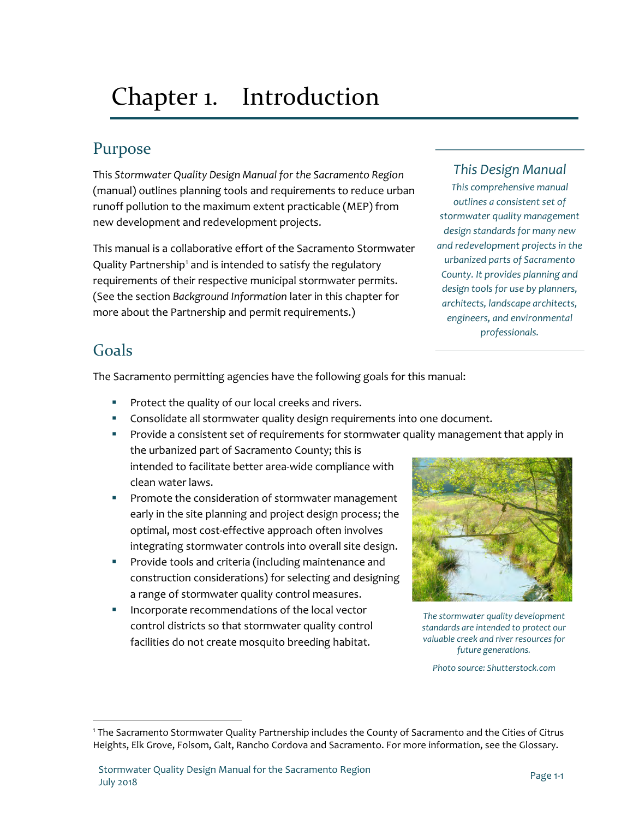# <span id="page-0-0"></span>Chapter 1. Introduction

## Purpose

This *Stormwater Quality Design Manual for the Sacramento Region*  (manual) outlines planning tools and requirements to reduce urban runoff pollution to the maximum extent practicable (MEP) from new development and redevelopment projects.

This manual is a collaborative effort of the Sacramento Stormwater Quality Partnership<sup>[1](#page-6-0)</sup> and is intended to satisfy the regulatory requirements of their respective municipal stormwater permits. (See the section *[Background Information](#page-1-0)* later in this chapter for more about the Partnership and permit requirements.)

## *This Design Manual*

*This comprehensive manual outlines a consistent set of stormwater quality management design standards for many new and redevelopment projects in the urbanized parts of Sacramento County. It provides planning and design tools for use by planners, architects, landscape architects, engineers, and environmental professionals.*

## Goals

 $\overline{a}$ 

The Sacramento permitting agencies have the following goals for this manual:

- **Protect the quality of our local creeks and rivers.**
- Consolidate all stormwater quality design requirements into one document.
- **Provide a consistent set of requirements for stormwater quality management that apply in** the urbanized part of Sacramento County; this is intended to facilitate better area-wide compliance with clean water laws.
- **Promote the consideration of stormwater management** early in the site planning and project design process; the optimal, most cost-effective approach often involves integrating stormwater controls into overall site design.
- **Provide tools and criteria (including maintenance and** construction considerations) for selecting and designing a range of stormwater quality control measures.
- Incorporate recommendations of the local vector control districts so that stormwater quality control facilities do not create mosquito breeding habitat.



*The stormwater quality development standards are intended to protect our valuable creek and river resources for future generations.*

*Photo source: Shutterstock.com*

<sup>1</sup> The Sacramento Stormwater Quality Partnership includes the County of Sacramento and the Cities of Citrus Heights, Elk Grove, Folsom, Galt, Rancho Cordova and Sacramento. For more information, see the Glossary.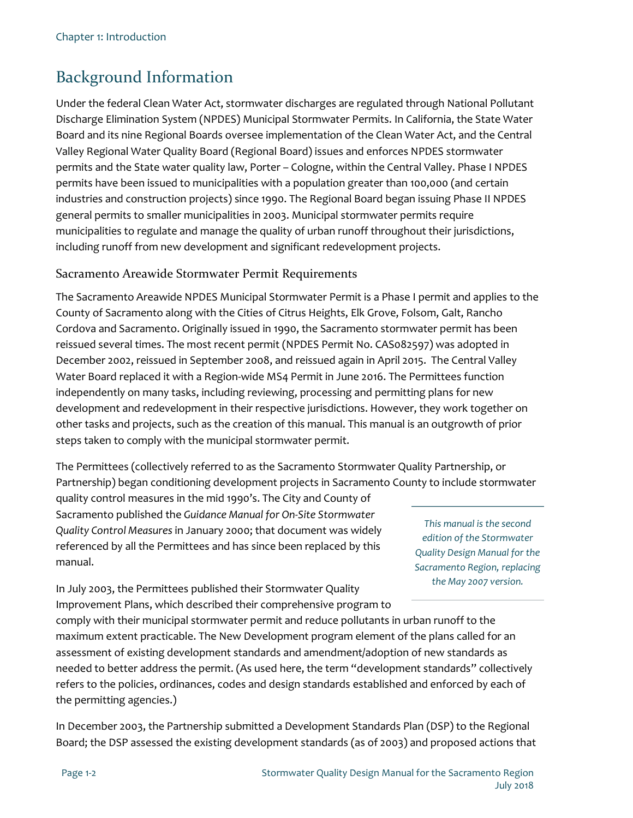# <span id="page-1-0"></span>Background Information

Under the federal Clean Water Act, stormwater discharges are regulated through National Pollutant Discharge Elimination System (NPDES) Municipal Stormwater Permits. In California, the State Water Board and its nine Regional Boards oversee implementation of the Clean Water Act, and the Central Valley Regional Water Quality Board (Regional Board) issues and enforces NPDES stormwater permits and the State water quality law, Porter – Cologne, within the Central Valley. Phase I NPDES permits have been issued to municipalities with a population greater than 100,000 (and certain industries and construction projects) since 1990. The Regional Board began issuing Phase II NPDES general permits to smaller municipalities in 2003. Municipal stormwater permits require municipalities to regulate and manage the quality of urban runoff throughout their jurisdictions, including runoff from new development and significant redevelopment projects.

#### Sacramento Areawide Stormwater Permit Requirements

The Sacramento Areawide NPDES Municipal Stormwater Permit is a Phase I permit and applies to the County of Sacramento along with the Cities of Citrus Heights, Elk Grove, Folsom, Galt, Rancho Cordova and Sacramento. Originally issued in 1990, the Sacramento stormwater permit has been reissued several times. The most recent permit (NPDES Permit No. CAS082597) was adopted in December 2002, reissued in September 2008, and reissued again in April 2015. The Central Valley Water Board replaced it with a Region-wide MS4 Permit in June 2016. The Permittees function independently on many tasks, including reviewing, processing and permitting plans for new development and redevelopment in their respective jurisdictions. However, they work together on other tasks and projects, such as the creation of this manual. This manual is an outgrowth of prior steps taken to comply with the municipal stormwater permit.

The Permittees (collectively referred to as the Sacramento Stormwater Quality Partnership, or Partnership) began conditioning development projects in Sacramento County to include stormwater

quality control measures in the mid 1990's. The City and County of Sacramento published the *Guidance Manual for On-Site Stormwater Quality Control Measures* in January 2000; that document was widely referenced by all the Permittees and has since been replaced by this manual.

*This manual is the second edition of the Stormwater Quality Design Manual for the Sacramento Region, replacing the May 2007 version.*

In July 2003, the Permittees published their Stormwater Quality Improvement Plans, which described their comprehensive program to

comply with their municipal stormwater permit and reduce pollutants in urban runoff to the maximum extent practicable. The New Development program element of the plans called for an assessment of existing development standards and amendment/adoption of new standards as needed to better address the permit. (As used here, the term "development standards" collectively refers to the policies, ordinances, codes and design standards established and enforced by each of the permitting agencies.)

In December 2003, the Partnership submitted a Development Standards Plan (DSP) to the Regional Board; the DSP assessed the existing development standards (as of 2003) and proposed actions that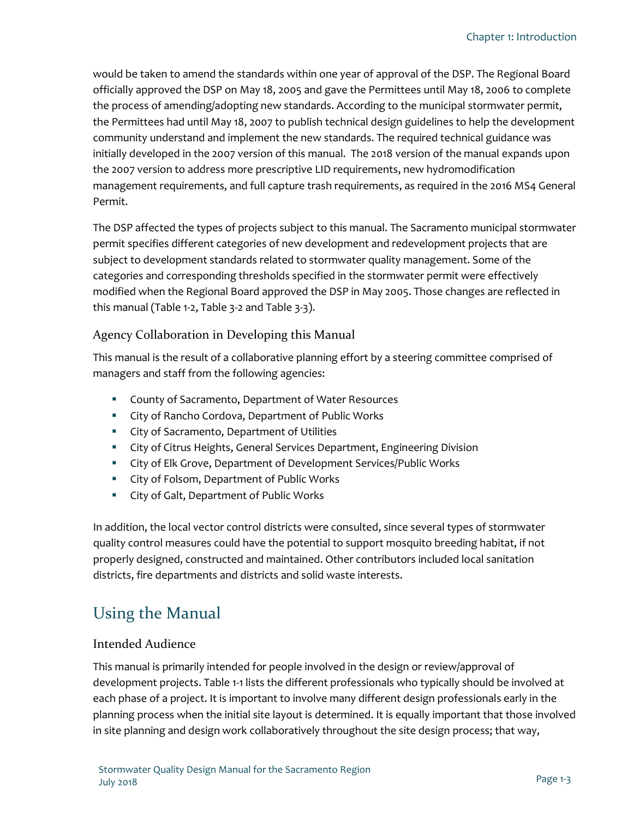would be taken to amend the standards within one year of approval of the DSP. The Regional Board officially approved the DSP on May 18, 2005 and gave the Permittees until May 18, 2006 to complete the process of amending/adopting new standards. According to the municipal stormwater permit, the Permittees had until May 18, 2007 to publish technical design guidelines to help the development community understand and implement the new standards. The required technical guidance was initially developed in the 2007 version of this manual. The 2018 version of the manual expands upon the 2007 version to address more prescriptive LID requirements, new hydromodification management requirements, and full capture trash requirements, as required in the 2016 MS4 General Permit.

The DSP affected the types of projects subject to this manual. The Sacramento municipal stormwater permit specifies different categories of new development and redevelopment projects that are subject to development standards related to stormwater quality management. Some of the categories and corresponding thresholds specified in the stormwater permit were effectively modified when the Regional Board approved the DSP in May 2005. Those changes are reflected in this manual [\(Table 1-2,](#page-5-0) [Table 3-2](#page--1-0) and Table 3-3).

#### Agency Collaboration in Developing this Manual

This manual is the result of a collaborative planning effort by a steering committee comprised of managers and staff from the following agencies:

- County of Sacramento, Department of Water Resources
- **EXECT:** City of Rancho Cordova, Department of Public Works
- **EXECT:** City of Sacramento, Department of Utilities
- City of Citrus Heights, General Services Department, Engineering Division
- **EXECT:** City of Elk Grove, Department of Development Services/Public Works
- **EXECT:** City of Folsom, Department of Public Works
- **EXECT:** City of Galt, Department of Public Works

In addition, the local vector control districts were consulted, since several types of stormwater quality control measures could have the potential to support mosquito breeding habitat, if not properly designed, constructed and maintained. Other contributors included local sanitation districts, fire departments and districts and solid waste interests.

## Using the Manual

#### Intended Audience

This manual is primarily intended for people involved in the design or review/approval of development projects[. Table 1-1](#page-4-0) lists the different professionals who typically should be involved at each phase of a project. It is important to involve many different design professionals early in the planning process when the initial site layout is determined. It is equally important that those involved in site planning and design work collaboratively throughout the site design process; that way,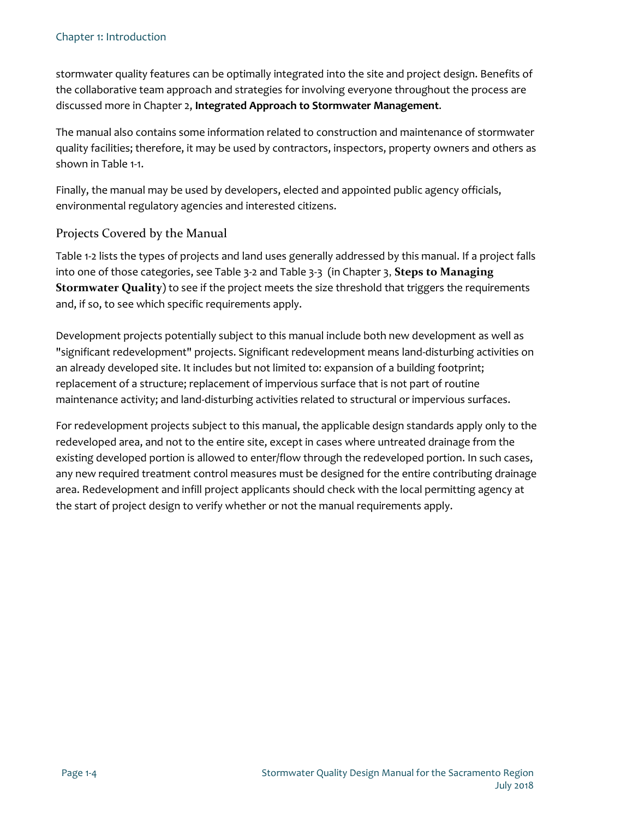stormwater quality features can be optimally integrated into the site and project design. Benefits of the collaborative team approach and strategies for involving everyone throughout the process are discussed more in [Chapter 2,](#page--1-1) **Integrated Approach to Stormwater Management**.

The manual also contains some information related to construction and maintenance of stormwater quality facilities; therefore, it may be used by contractors, inspectors, property owners and others as shown in [Table 1-1.](#page-4-0)

Finally, the manual may be used by developers, elected and appointed public agency officials, environmental regulatory agencies and interested citizens.

#### Projects Covered by the Manual

[Table 1-2](#page-5-0) lists the types of projects and land uses generally addressed by this manual. If a project falls into one of those categories, see [Table 3-2](#page--1-0) and Table 3-3 (i[n Chapter 3](#page--1-1), **Steps to Managing Stormwater Quality**) to see if the project meets the size threshold that triggers the requirements and, if so, to see which specific requirements apply.

Development projects potentially subject to this manual include both new development as well as "significant redevelopment" projects. Significant redevelopment means land-disturbing activities on an already developed site. It includes but not limited to: expansion of a building footprint; replacement of a structure; replacement of impervious surface that is not part of routine maintenance activity; and land-disturbing activities related to structural or impervious surfaces.

For redevelopment projects subject to this manual, the applicable design standards apply only to the redeveloped area, and not to the entire site, except in cases where untreated drainage from the existing developed portion is allowed to enter/flow through the redeveloped portion. In such cases, any new required treatment control measures must be designed for the entire contributing drainage area. Redevelopment and infill project applicants should check with the local permitting agency at the start of project design to verify whether or not the manual requirements apply.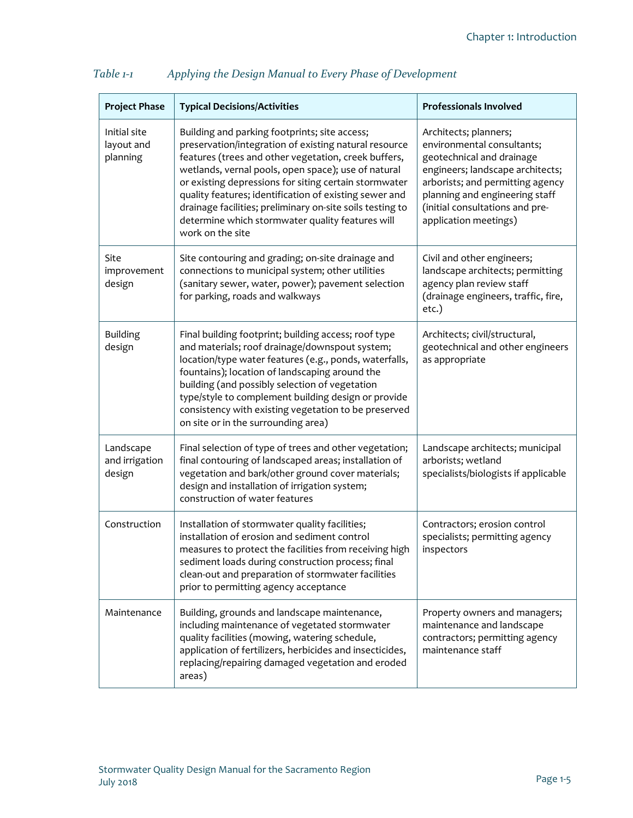| <b>Project Phase</b>                   | <b>Typical Decisions/Activities</b>                                                                                                                                                                                                                                                                                                                                                                                                                                           | <b>Professionals Involved</b>                                                                                                                                                                                                                          |
|----------------------------------------|-------------------------------------------------------------------------------------------------------------------------------------------------------------------------------------------------------------------------------------------------------------------------------------------------------------------------------------------------------------------------------------------------------------------------------------------------------------------------------|--------------------------------------------------------------------------------------------------------------------------------------------------------------------------------------------------------------------------------------------------------|
| Initial site<br>layout and<br>planning | Building and parking footprints; site access;<br>preservation/integration of existing natural resource<br>features (trees and other vegetation, creek buffers,<br>wetlands, vernal pools, open space); use of natural<br>or existing depressions for siting certain stormwater<br>quality features; identification of existing sewer and<br>drainage facilities; preliminary on-site soils testing to<br>determine which stormwater quality features will<br>work on the site | Architects; planners;<br>environmental consultants;<br>geotechnical and drainage<br>engineers; landscape architects;<br>arborists; and permitting agency<br>planning and engineering staff<br>(initial consultations and pre-<br>application meetings) |
| Site<br>improvement<br>design          | Site contouring and grading; on-site drainage and<br>connections to municipal system; other utilities<br>(sanitary sewer, water, power); pavement selection<br>for parking, roads and walkways                                                                                                                                                                                                                                                                                | Civil and other engineers;<br>landscape architects; permitting<br>agency plan review staff<br>(drainage engineers, traffic, fire,<br>etc.)                                                                                                             |
| <b>Building</b><br>design              | Final building footprint; building access; roof type<br>and materials; roof drainage/downspout system;<br>location/type water features (e.g., ponds, waterfalls,<br>fountains); location of landscaping around the<br>building (and possibly selection of vegetation<br>type/style to complement building design or provide<br>consistency with existing vegetation to be preserved<br>on site or in the surrounding area)                                                    | Architects; civil/structural,<br>geotechnical and other engineers<br>as appropriate                                                                                                                                                                    |
| Landscape<br>and irrigation<br>design  | Final selection of type of trees and other vegetation;<br>final contouring of landscaped areas; installation of<br>vegetation and bark/other ground cover materials;<br>design and installation of irrigation system;<br>construction of water features                                                                                                                                                                                                                       | Landscape architects; municipal<br>arborists; wetland<br>specialists/biologists if applicable                                                                                                                                                          |
| Construction                           | Installation of stormwater quality facilities;<br>installation of erosion and sediment control<br>measures to protect the facilities from receiving high<br>sediment loads during construction process; final<br>clean-out and preparation of stormwater facilities<br>prior to permitting agency acceptance                                                                                                                                                                  | Contractors; erosion control<br>specialists; permitting agency<br>inspectors                                                                                                                                                                           |
| Maintenance                            | Building, grounds and landscape maintenance,<br>including maintenance of vegetated stormwater<br>quality facilities (mowing, watering schedule,<br>application of fertilizers, herbicides and insecticides,<br>replacing/repairing damaged vegetation and eroded<br>areas)                                                                                                                                                                                                    | Property owners and managers;<br>maintenance and landscape<br>contractors; permitting agency<br>maintenance staff                                                                                                                                      |

#### <span id="page-4-0"></span>*Table 1-1 Applying the Design Manual to Every Phase of Development*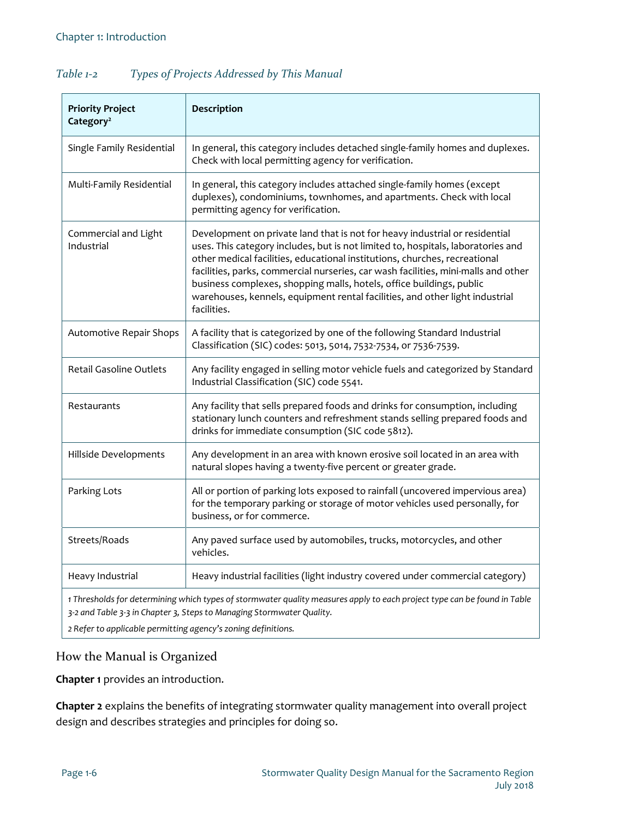| <b>Priority Project</b><br>Category <sup>2</sup>                                                                                                                                                  | Description                                                                                                                                                                                                                                                                                                                                                                                                                                                                                                |  |  |
|---------------------------------------------------------------------------------------------------------------------------------------------------------------------------------------------------|------------------------------------------------------------------------------------------------------------------------------------------------------------------------------------------------------------------------------------------------------------------------------------------------------------------------------------------------------------------------------------------------------------------------------------------------------------------------------------------------------------|--|--|
| Single Family Residential                                                                                                                                                                         | In general, this category includes detached single-family homes and duplexes.<br>Check with local permitting agency for verification.                                                                                                                                                                                                                                                                                                                                                                      |  |  |
| Multi-Family Residential                                                                                                                                                                          | In general, this category includes attached single-family homes (except<br>duplexes), condominiums, townhomes, and apartments. Check with local<br>permitting agency for verification.                                                                                                                                                                                                                                                                                                                     |  |  |
| Commercial and Light<br>Industrial                                                                                                                                                                | Development on private land that is not for heavy industrial or residential<br>uses. This category includes, but is not limited to, hospitals, laboratories and<br>other medical facilities, educational institutions, churches, recreational<br>facilities, parks, commercial nurseries, car wash facilities, mini-malls and other<br>business complexes, shopping malls, hotels, office buildings, public<br>warehouses, kennels, equipment rental facilities, and other light industrial<br>facilities. |  |  |
| Automotive Repair Shops                                                                                                                                                                           | A facility that is categorized by one of the following Standard Industrial<br>Classification (SIC) codes: 5013, 5014, 7532-7534, or 7536-7539.                                                                                                                                                                                                                                                                                                                                                             |  |  |
| <b>Retail Gasoline Outlets</b>                                                                                                                                                                    | Any facility engaged in selling motor vehicle fuels and categorized by Standard<br>Industrial Classification (SIC) code 5541.                                                                                                                                                                                                                                                                                                                                                                              |  |  |
| Restaurants                                                                                                                                                                                       | Any facility that sells prepared foods and drinks for consumption, including<br>stationary lunch counters and refreshment stands selling prepared foods and<br>drinks for immediate consumption (SIC code 5812).                                                                                                                                                                                                                                                                                           |  |  |
| Hillside Developments                                                                                                                                                                             | Any development in an area with known erosive soil located in an area with<br>natural slopes having a twenty-five percent or greater grade.                                                                                                                                                                                                                                                                                                                                                                |  |  |
| Parking Lots                                                                                                                                                                                      | All or portion of parking lots exposed to rainfall (uncovered impervious area)<br>for the temporary parking or storage of motor vehicles used personally, for<br>business, or for commerce.                                                                                                                                                                                                                                                                                                                |  |  |
| Streets/Roads                                                                                                                                                                                     | Any paved surface used by automobiles, trucks, motorcycles, and other<br>vehicles.                                                                                                                                                                                                                                                                                                                                                                                                                         |  |  |
| Heavy Industrial                                                                                                                                                                                  | Heavy industrial facilities (light industry covered under commercial category)                                                                                                                                                                                                                                                                                                                                                                                                                             |  |  |
| 1 Thresholds for determining which types of stormwater quality measures apply to each project type can be found in Table<br>3-2 and Table 3-3 in Chapter 3, Steps to Managing Stormwater Quality. |                                                                                                                                                                                                                                                                                                                                                                                                                                                                                                            |  |  |

#### <span id="page-5-0"></span>*Table 1-2 Types of Projects Addressed by This Manual*

*2 Refer to applicable permitting agency's zoning definitions.*

### How the Manual is Organized

**[Chapter 1](#page-0-0)** provides an introduction.

**[Chapter 2](#page--1-1)** explains the benefits of integrating stormwater quality management into overall project design and describes strategies and principles for doing so.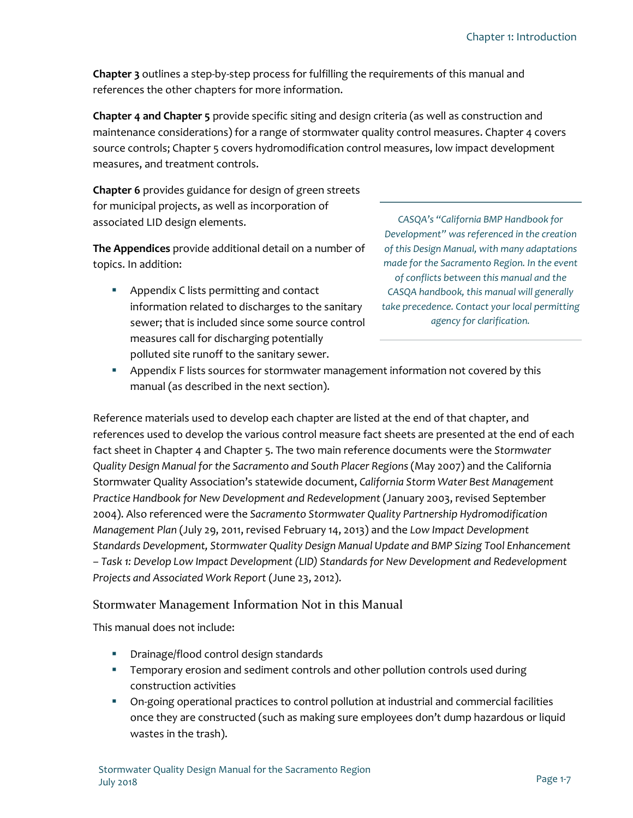**[Chapter 3](#page--1-1)** outlines a step-by-step process for fulfilling the requirements of this manual and references the other chapters for more information.

**[Chapter 4](#page--1-1) and [Chapter 5](#page--1-1)** provide specific siting and design criteria (as well as construction and maintenance considerations) for a range of stormwater quality control measures[. Chapter 4](#page--1-1) covers source controls; [Chapter 5](#page--1-1) covers hydromodification control measures, low impact development measures, and treatment controls.

**[Chapter 6](#page--1-1)** provides guidance for design of green streets for municipal projects, as well as incorporation of associated LID design elements.

**The Appendices** provide additional detail on a number of topics. In addition:

**Appendix C lists permitting and contact** information related to discharges to the sanitary sewer; that is included since some source control measures call for discharging potentially polluted site runoff to the sanitary sewer.

*CASQA's "California BMP Handbook for Development" was referenced in the creation of this Design Manual, with many adaptations made for the Sacramento Region. In the event of conflicts between this manual and the CASQA handbook, this manual will generally take precedence. Contact your local permitting agency for clarification.*

**Appendix F lists sources for stormwater management information not covered by this** manual (as described in the next section).

Reference materials used to develop each chapter are listed at the end of that chapter, and references used to develop the various control measure fact sheets are presented at the end of each fact sheet i[n Chapter 4](#page--1-1) and [Chapter 5.](#page--1-1) The two main reference documents were the *Stormwater Quality Design Manual for the Sacramento and South Placer Regions* (May 2007) and the California Stormwater Quality Association's statewide document, *California Storm Water Best Management Practice Handbook for New Development and Redevelopment* (January 2003, revised September 2004). Also referenced were the *Sacramento Stormwater Quality Partnership Hydromodification Management Plan* (July 29, 2011, revised February 14, 2013) and the *Low Impact Development Standards Development, Stormwater Quality Design Manual Update and BMP Sizing Tool Enhancement – Task 1: Develop Low Impact Development (LID) Standards for New Development and Redevelopment Projects and Associated Work Report* (June 23, 2012).

#### Stormwater Management Information Not in this Manual

This manual does not include:

- **•** Drainage/flood control design standards
- **Temporary erosion and sediment controls and other pollution controls used during** construction activities
- <span id="page-6-0"></span> On-going operational practices to control pollution at industrial and commercial facilities once they are constructed (such as making sure employees don't dump hazardous or liquid wastes in the trash).